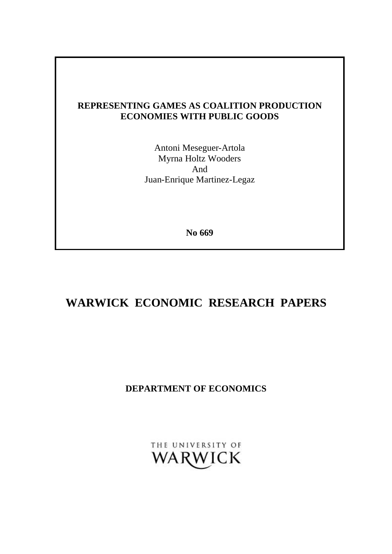## **REPRESENTING GAMES AS COALITION PRODUCTION ECONOMIES WITH PUBLIC GOODS**

Antoni Meseguer-Artola Myrna Holtz Wooders And Juan-Enrique Martinez-Legaz

**No 669**

# **WARWICK ECONOMIC RESEARCH PAPERS**

# **DEPARTMENT OF ECONOMICS**

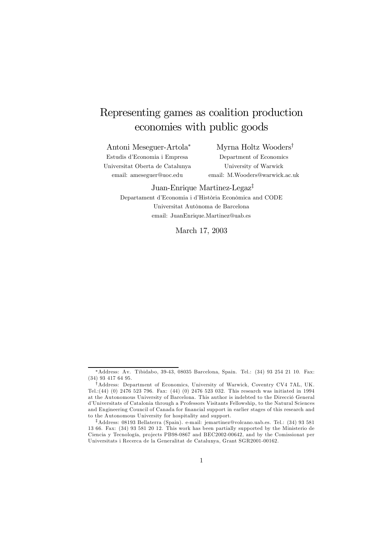# Representing games as coalition production economies with public goods

Antoni Meseguer-Artola ¤

Estudis d'Economia i Empresa Universitat Oberta de Catalunya email: ameseguer@uoc.edu

Myrna Holtz Wooders<sup>†</sup> Department of Economics University of Warwick email: M.Wooders@warwick.ac.uk

#### Juan-Enrique Martinez-Legaz<sup>†</sup>

Departament d'Economia i d'Història Econòmica and CODE Universitat Autònoma de Barcelona email: JuanEnrique.Martinez@uab.es

March 17, 2003

 $*$ Address: Av. Tibidabo, 39-43, 08035 Barcelona, Spain. Tel.: (34) 93 254 21 10. Fax: (34) 93 417 64 95.

<sup>&</sup>lt;sup>†</sup>Address: Department of Economics, University of Warwick, Coventry CV4 7AL, UK. Tel.:(44) (0) 2476 523 796. Fax: (44) (0) 2476 523 032. This research was initiated in 1994 at the Autonomous University of Barcelona. This author is indebted to the Direcció General d'Universitats of Catalonia through a Professors Visitants Fellowship, to the Natural Sciences and Engineering Council of Canada for financial support in earlier stages of this research and to the Autonomous University for hospitality and support.

<sup>&</sup>lt;sup>‡</sup>Address: 08193 Bellaterra (Spain). e-mail: jemartinez@volcano.uab.es. Tel.:  $(34)$  93 581 13 66. Fax: (34) 93 581 20 12. This work has been partially supported by the Ministerio de Ciencia y Tecnología, projects PB98-0867 and BEC2002-00642, and by the Comissionat per Universitats i Recerca de la Generalitat de Catalunya, Grant SGR2001-00162.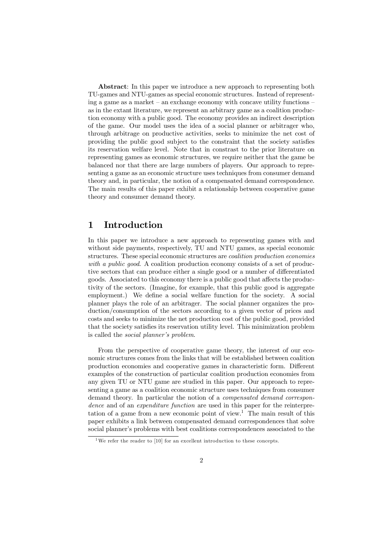Abstract: In this paper we introduce a new approach to representing both TU-games and NTU-games as special economic structures. Instead of representing a game as a market – an exchange economy with concave utility functions – as in the extant literature, we represent an arbitrary game as a coalition production economy with a public good. The economy provides an indirect description of the game. Our model uses the idea of a social planner or arbitrager who, through arbitrage on productive activities, seeks to minimize the net cost of providing the public good subject to the constraint that the society satisfies its reservation welfare level. Note that in constrast to the prior literature on representing games as economic structures, we require neither that the game be balanced nor that there are large numbers of players. Our approach to representing a game as an economic structure uses techniques from consumer demand theory and, in particular, the notion of a compensated demand correspondence. The main results of this paper exhibit a relationship between cooperative game theory and consumer demand theory.

### 1 Introduction

In this paper we introduce a new approach to representing games with and without side payments, respectively, TU and NTU games, as special economic structures. These special economic structures are coalition production economies with a public good. A coalition production economy consists of a set of productive sectors that can produce either a single good or a number of differentiated goods. Associated to this economy there is a public good that affects the productivity of the sectors. (Imagine, for example, that this public good is aggregate employment.) We define a social welfare function for the society. A social planner plays the role of an arbitrager. The social planner organizes the production/consumption of the sectors according to a given vector of prices and costs and seeks to minimize the net production cost of the public good, provided that the society satisfies its reservation utility level. This minimization problem is called the social planner's problem.

From the perspective of cooperative game theory, the interest of our economic structures comes from the links that will be established between coalition production economies and cooperative games in characteristic form. Different examples of the construction of particular coalition production economies from any given TU or NTU game are studied in this paper. Our approach to representing a game as a coalition economic structure uses techniques from consumer demand theory. In particular the notion of a compensated demand correspondence and of an expenditure function are used in this paper for the reinterpretation of a game from a new economic point of view. <sup>1</sup> The main result of this paper exhibits a link between compensated demand correspondences that solve social planner's problems with best coalitions correspondences associated to the

<sup>&</sup>lt;sup>1</sup>We refer the reader to [10] for an excellent introduction to these concepts.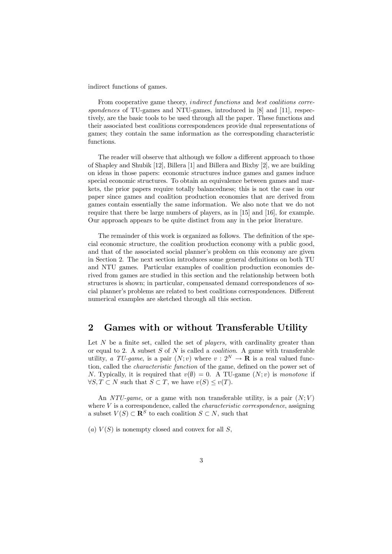indirect functions of games.

From cooperative game theory, *indirect functions* and *best coalitions corre*spondences of TU-games and NTU-games, introduced in [8] and [11], respectively, are the basic tools to be used through all the paper. These functions and their associated best coalitions correspondences provide dual representations of games; they contain the same information as the corresponding characteristic functions.

The reader will observe that although we follow a different approach to those of Shapley and Shubik [12], Billera [1] and Billera and Bixby [2], we are building on ideas in those papers: economic structures induce games and games induce special economic structures. To obtain an equivalence between games and markets, the prior papers require totally balancedness; this is not the case in our paper since games and coalition production economies that are derived from games contain essentially the same information. We also note that we do not require that there be large numbers of players, as in [15] and [16], for example. Our approach appears to be quite distinct from any in the prior literature.

The remainder of this work is organized as follows. The definition of the special economic structure, the coalition production economy with a public good, and that of the associated social planner's problem on this economy are given in Section 2. The next section introduces some general definitions on both TU and NTU games. Particular examples of coalition production economies derived from games are studied in this section and the relationship between both structures is shown; in particular, compensated demand correspondences of social planner's problems are related to best coalitions correspondences. Different numerical examples are sketched through all this section.

### 2 Games with or without Transferable Utility

Let  $N$  be a finite set, called the set of *players*, with cardinality greater than or equal to 2. A subset  $S$  of  $N$  is called a *coalition*. A game with transferable utility, a TU-game, is a pair  $(N; v)$  where  $v : 2^N \to \mathbf{R}$  is a real valued function, called the *characteristic function* of the game, defined on the power set of N. Typically, it is required that  $v(\emptyset) = 0$ . A TU-game  $(N; v)$  is monotone if  $\forall S, T \subset N$  such that  $S \subset T$ , we have  $v(S) \le v(T)$ .

An NTU-game, or a game with non transferable utility, is a pair  $(N; V)$ where  $V$  is a correspondence, called the *characteristic correspondence*, assigning a subset  $V(S) \subset \mathbb{R}^S$  to each coalition  $S \subset N$ , such that

(a)  $V(S)$  is nonempty closed and convex for all S,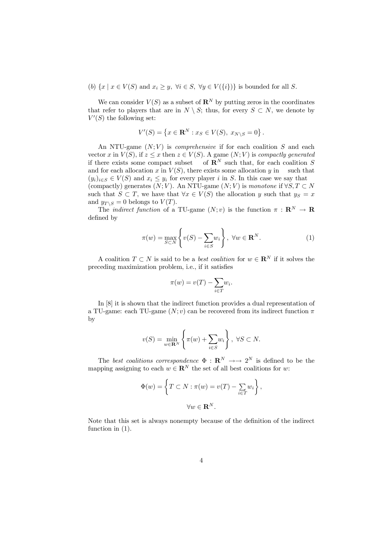(b)  $\{x \mid x \in V(S) \text{ and } x_i \geq y, \forall i \in S, \forall y \in V(\{i\})\}$  is bounded for all S.

We can consider  $V(S)$  as a subset of  $\mathbb{R}^N$  by putting zeros in the coordinates that refer to players that are in  $N \setminus S$ ; thus, for every  $S \subset N$ , we denote by  $V'(S)$  the following set:

$$
V'(S) = \left\{ x \in \mathbf{R}^N : x_S \in V(S), \ x_{N \setminus S} = 0 \right\}.
$$

An NTU-game  $(N; V)$  is *comprehensive* if for each coalition S and each vector x in  $V(S)$ , if  $z \le x$  then  $z \in V(S)$ . A game  $(N; V)$  is compactly generated if there exists some compact subset of  $\mathbb{R}^N$  such that, for each coalition S of  $\mathbf{R}^N$  such that, for each coalition S and for each allocation x in  $V(S)$ , there exists some allocation y in such that  $(y_i)_{i \in S} \in V(S)$  and  $x_i \leq y_i$  for every player i in S. In this case we say that (compactly) generates  $(N; V)$ . An NTU-game  $(N; V)$  is monotone if  $\forall S, T \subset N$ such that  $S \subset T$ , we have that  $\forall x \in V(S)$  the allocation y such that  $y_S = x$ and  $y_{T\setminus S} = 0$  belongs to  $V(T)$ .

The *indirect function* of a TU-game  $(N; v)$  is the function  $\pi : \mathbb{R}^N \to \mathbb{R}$ defined by

$$
\pi(w) = \max_{S \subset N} \left\{ v(S) - \sum_{i \in S} w_i \right\}, \ \forall w \in \mathbf{R}^N.
$$
 (1)

A coalition  $T \subset N$  is said to be a *best coalition* for  $w \in \mathbb{R}^N$  if it solves the preceding maximization problem, i.e., if it satisfies

$$
\pi(w) = v(T) - \sum_{i \in T} w_i.
$$

In [8] it is shown that the indirect function provides a dual representation of a TU-game: each TU-game  $(N; v)$  can be recovered from its indirect function  $\pi$ by

$$
v(S) = \min_{w \in \mathbf{R}^N} \left\{ \pi(w) + \sum_{i \in S} w_i \right\}, \ \forall S \subset N.
$$

The best coalitions correspondence  $\Phi : \mathbf{R}^N \longrightarrow 2^N$  is defined to be the mapping assigning to each  $w \in \mathbb{R}^N$  the set of all best coalitions for w:

$$
\Phi(w) = \left\{ T \subset N : \pi(w) = v(T) - \sum_{i \in T} w_i \right\},\
$$

$$
\forall w \in \mathbf{R}^N.
$$

Note that this set is always nonempty because of the definition of the indirect function in  $(1)$ .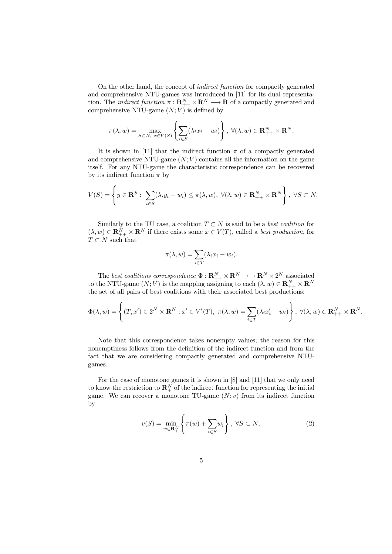On the other hand, the concept of indirect function for compactly generated and comprehensive NTU-games was introduced in [11] for its dual representation. The *indirect function*  $\pi : \mathbf{R}_{++}^N \times \mathbf{R}_{++}^N \longrightarrow \mathbf{R}$  of a compactly generated and comprehensive NTU-game  $(N; V)$  is defined by

$$
\pi(\lambda, w) = \max_{S \subset N, \ x \in V(S)} \left\{ \sum_{i \in S} (\lambda_i x_i - w_i) \right\}, \ \forall (\lambda, w) \in \mathbf{R}_{++}^N \times \mathbf{R}^N.
$$

It is shown in [11] that the indirect function  $\pi$  of a compactly generated and comprehensive NTU-game  $(N; V)$  contains all the information on the game itself. For any NTU-game the characteristic correspondence can be recovered by its indirect function  $\pi$  by

$$
V(S) = \left\{ y \in \mathbf{R}^S : \sum_{i \in S} (\lambda_i y_i - w_i) \le \pi(\lambda, w), \ \forall (\lambda, w) \in \mathbf{R}_{++}^N \times \mathbf{R}^N \right\}, \ \forall S \subset N.
$$

Similarly to the TU case, a coalition  $T \subset N$  is said to be a *best coalition* for  $(\lambda, w) \in \mathbf{R}_{++}^N \times \mathbf{R}^N$  if there exists some  $x \in V(T)$ , called a *best production*, for  $T\subset N$  such that

$$
\pi(\lambda, w) = \sum_{i \in T} (\lambda_i x_i - w_i).
$$

The best coalitions correspondence  $\Phi: \mathbf{R}_{++}^N \times \mathbf{R}_{++}^N \longrightarrow \mathbf{R}_{++}^N \times 2^N$  associated to the NTU-game  $(N; V)$  is the mapping assigning to each  $(\lambda, w) \in \mathbb{R}_{++}^N \times \mathbb{R}^N$ the set of all pairs of best coalitions with their associated best productions:

$$
\Phi(\lambda, w) = \left\{ (T, x') \in 2^N \times \mathbf{R}^N : x' \in V'(T), \ \pi(\lambda, w) = \sum_{i \in T} (\lambda_i x'_i - w_i) \right\}, \ \forall (\lambda, w) \in \mathbf{R}_{++}^N \times \mathbf{R}^N.
$$

Note that this correspondence takes nonempty values; the reason for this nonemptiness follows from the definition of the indirect function and from the fact that we are considering compactly generated and comprehensive NTUgames.

For the case of monotone games it is shown in [8] and [11] that we only need to know the restriction to  $\mathbf{R}_{+}^{N}$  of the indirect function for representing the initial game. We can recover a monotone TU-game  $(N; v)$  from its indirect function by

$$
v(S) = \min_{w \in \mathbf{R}_+^N} \left\{ \pi(w) + \sum_{i \in S} w_i \right\}, \ \forall S \subset N; \tag{2}
$$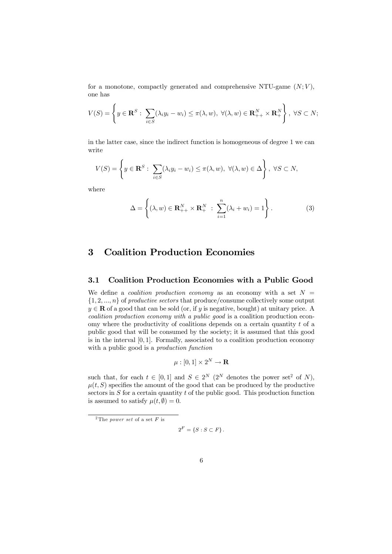for a monotone, compactly generated and comprehensive NTU-game  $(N; V)$ , one has

$$
V(S) = \left\{ y \in \mathbf{R}^S : \sum_{i \in S} (\lambda_i y_i - w_i) \le \pi(\lambda, w), \ \forall (\lambda, w) \in \mathbf{R}_{++}^N \times \mathbf{R}_+^N \right\}, \ \forall S \subset N;
$$

in the latter case, since the indirect function is homogeneous of degree 1 we can write

$$
V(S) = \left\{ y \in \mathbf{R}^S : \sum_{i \in S} (\lambda_i y_i - w_i) \le \pi(\lambda, w), \ \forall (\lambda, w) \in \Delta \right\}, \ \forall S \subset N,
$$

where

$$
\Delta = \left\{ (\lambda, w) \in \mathbf{R}_{++}^N \times \mathbf{R}_+^N \; : \; \sum_{i=1}^n (\lambda_i + w_i) = 1 \right\}.
$$
 (3)

## 3 Coalition Production Economies

#### 3.1 Coalition Production Economies with a Public Good

We define a *coalition production economy* as an economy with a set  $N =$  $\{1, 2, ..., n\}$  of productive sectors that produce/consume collectively some output  $y \in \mathbf{R}$  of a good that can be sold (or, if y is negative, bought) at unitary price. A coalition production economy with a public good is a coalition production economy where the productivity of coalitions depends on a certain quantity  $t$  of a public good that will be consumed by the society; it is assumed that this good is in the interval  $[0, 1]$ . Formally, associated to a coalition production economy with a public good is a *production function* 

$$
\mu : [0,1] \times 2^N \to \mathbf{R}
$$

such that, for each  $t \in [0, 1]$  and  $S \in 2^N$  (2<sup>N</sup> denotes the power set<sup>2</sup> of N),  $\mu(t, S)$  specifies the amount of the good that can be produced by the productive sectors in  $S$  for a certain quantity  $t$  of the public good. This production function is assumed to satisfy  $\mu(t, \emptyset) = 0.$ 

$$
2^F = \{ S : S \subset F \}.
$$

<sup>&</sup>lt;sup>2</sup>The *power set* of a set  $F$  is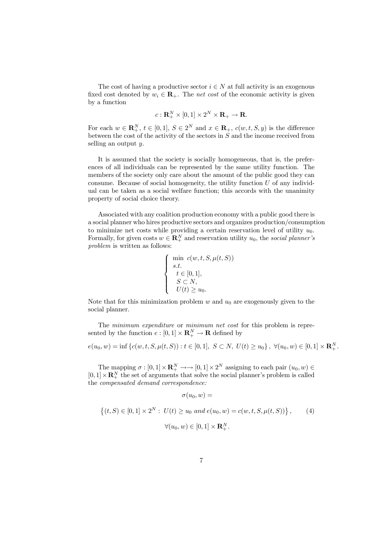The cost of having a productive sector  $i \in N$  at full activity is an exogenous fixed cost denoted by  $w_i \in \mathbf{R}_+$ . The net cost of the economic activity is given by a function

$$
c: \mathbf{R}_{+}^{N} \times [0,1] \times 2^{N} \times \mathbf{R}_{+} \to \mathbf{R}.
$$

For each  $w \in \mathbf{R}_{+}^{N}, t \in [0,1], S \in 2^{N}$  and  $x \in \mathbf{R}_{+}$ ,  $c(w,t,S,y)$  is the difference between the cost of the activity of the sectors in  $S$  and the income received from selling an output  $y$ .

It is assumed that the society is socially homogeneous, that is, the preferences of all individuals can be represented by the same utility function. The members of the society only care about the amount of the public good they can consume. Because of social homogeneity, the utility function  $U$  of any individual can be taken as a social welfare function; this accords with the unanimity property of social choice theory.

Associated with any coalition production economy with a public good there is a social planner who hires productive sectors and organizes production/consumption to minimize net costs while providing a certain reservation level of utility  $u_0$ . Formally, for given costs  $w \in \mathbb{R}^N_+$  and reservation utility  $u_0$ , the social planner's problem is written as follows:

$$
\left\{\begin{array}{ll}\min & c(w,t,S,\mu(t,S))\\ s.t. & \\ & t\in[0,1],\\ & S\subset N,\\ & U(t)\geq u_0.\end{array}\right.
$$

Note that for this minimization problem  $w$  and  $u_0$  are exogenously given to the social planner.

The minimum expenditure or minimum net cost for this problem is represented by the function  $e: [0,1] \times \mathbf{R}_{+}^{N} \to \mathbf{R}$  defined by

$$
e(u_0, w) = \inf \left\{ c(w, t, S, \mu(t, S)) : t \in [0, 1], S \subset N, U(t) \ge u_0 \right\}, \ \forall (u_0, w) \in [0, 1] \times \mathbf{R}_+^N.
$$

The mapping  $\sigma : [0,1] \times \mathbf{R}^N_+ \longrightarrow [0,1] \times 2^N$  assigning to each pair  $(u_0, w) \in$  $[0,1] \times \mathbb{R}^N_+$  the set of arguments that solve the social planner's problem is called the compensated demand correspondence:

 $\sigma(u_2, w) =$ 

$$
\{(t, S) \in [0, 1] \times 2^N : U(t) \ge u_0 \text{ and } e(u_0, w) = c(w, t, S, \mu(t, S))\}, \qquad (4)
$$

$$
\forall (u_0, w) \in [0, 1] \times \mathbf{R}^N_+.
$$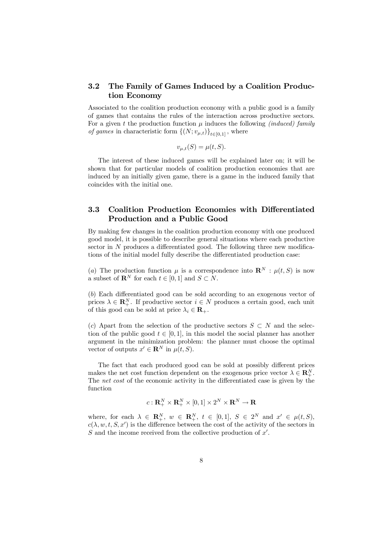#### 3.2 The Family of Games Induced by a Coalition Production Economy

Associated to the coalition production economy with a public good is a family of games that contains the rules of the interaction across productive sectors. For a given t the production function  $\mu$  induces the following *(induced)* family *of games* in characteristic form  $\{(N; v_{\mu,t})\}_{t\in[0,1]}$ , where

$$
v_{\mu,t}(S) = \mu(t,S).
$$

The interest of these induced games will be explained later on; it will be shown that for particular models of coalition production economies that are induced by an initially given game, there is a game in the induced family that coincides with the initial one.

#### 3.3 Coalition Production Economies with Differentiated Production and a Public Good

By making few changes in the coalition production economy with one produced good model, it is possible to describe general situations where each productive sector in  $N$  produces a differentiated good. The following three new modifications of the initial model fully describe the differentiated production case:

(a) The production function  $\mu$  is a correspondence into  $\mathbf{R}^N$  :  $\mu(t, S)$  is now a subset of  $\mathbb{R}^N$  for each  $t \in [0, 1]$  and  $S \subset N$ .

 $(b)$  Each differentiated good can be sold according to an exogenous vector of prices  $\lambda \in \mathbb{R}_+^N$ . If productive sector  $i \in N$  produces a certain good, each unit of this good can be sold at price  $\lambda_i \in \mathbf{R}_+$ .

(c) Apart from the selection of the productive sectors  $S \subset N$  and the selection of the public good  $t \in [0, 1]$ , in this model the social planner has another argument in the minimization problem: the planner must choose the optimal vector of outputs  $x' \in \mathbf{R}^N$  in  $\mu(t, S)$ .

The fact that each produced good can be sold at possibly different prices makes the net cost function dependent on the exogenous price vector  $\lambda \in \mathbb{R}^N_+$ . The *net cost* of the economic activity in the differentiated case is given by the function

$$
c: \mathbf{R}_{+}^{N} \times \mathbf{R}_{+}^{N} \times [0,1] \times 2^{N} \times \mathbf{R}^{N} \to \mathbf{R}
$$

where, for each  $\lambda \in \mathbb{R}_{+}^{N}$ ,  $w \in \mathbb{R}_{+}^{N}$ ,  $t \in [0,1]$ ,  $S \in 2^{N}$  and  $x' \in \mu(t, S)$ ,  $c(\lambda, w, t, S, x')$  is the difference between the cost of the activity of the sectors in  $S$  and the income received from the collective production of  $x'$ .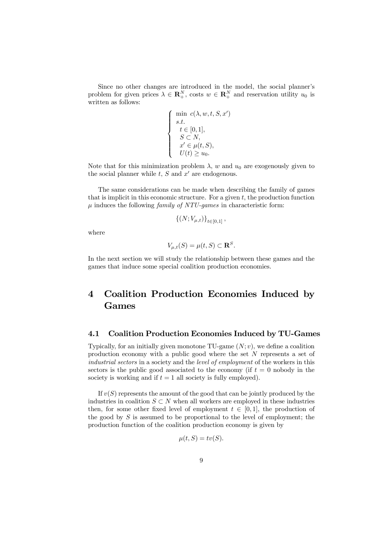Since no other changes are introduced in the model, the social planner's problem for given prices  $\lambda \in \mathbb{R}^N_+$ , costs  $w \in \mathbb{R}^N_+$  and reservation utility  $u_0$  is written as follows:

$$
\left\{\begin{array}{ll} \min & c(\lambda,w,t,S,x')\\ s.t. & \\ t\in[0,1], & \\ S\subset N, & \\ x'\in\mu(t,S), & \\ U(t)\geq u_0. & \end{array}\right.
$$

Note that for this minimization problem  $\lambda$ , w and  $u_0$  are exogenously given to the social planner while  $t, S$  and  $x'$  are endogenous.

The same considerations can be made when describing the family of games that is implicit in this economic structure. For a given  $t$ , the production function  $\mu$  induces the following *family of NTU-games* in characteristic form:

$$
{\{(N;V_{\mu,t})\}}_{t\in[0,1]},
$$

where

$$
V_{\mu,t}(S) = \mu(t,S) \subset \mathbf{R}^S.
$$

In the next section we will study the relationship between these games and the games that induce some special coalition production economies.

## 4 Coalition Production Economies Induced by Games

#### 4.1 Coalition Production Economies Induced by TU-Games

Typically, for an initially given monotone TU-game  $(N; v)$ , we define a coalition production economy with a public good where the set N represents a set of industrial sectors in a society and the level of employment of the workers in this sectors is the public good associated to the economy (if  $t = 0$  nobody in the society is working and if  $t = 1$  all society is fully employed).

If  $v(S)$  represents the amount of the good that can be jointly produced by the industries in coalition  $S \subset N$  when all workers are employed in these industries then, for some other fixed level of employment  $t \in [0, 1]$ , the production of the good by S is assumed to be proportional to the level of employment; the production function of the coalition production economy is given by

$$
\mu(t, S) = tv(S).
$$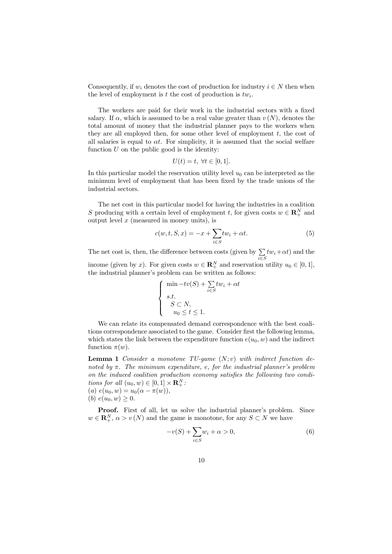Consequently, if  $w_i$  denotes the cost of production for industry  $i \in N$  then when the level of employment is t the cost of production is  $tw_i$ .

The workers are paid for their work in the industrial sectors with a fixed salary. If  $\alpha$ , which is assumed to be a real value greater than  $v(N)$ , denotes the total amount of money that the industrial planner pays to the workers when they are all employed then, for some other level of employment t, the cost of all salaries is equal to  $\alpha t$ . For simplicity, it is assumed that the social welfare function  $U$  on the public good is the identity:

$$
U(t) = t, \ \forall t \in [0, 1].
$$

In this particular model the reservation utility level  $u_0$  can be interpreted as the minimum level of employment that has been fixed by the trade unions of the industrial sectors.

The net cost in this particular model for having the industries in a coalition S producing with a certain level of employment t, for given costs  $w \in \mathbb{R}^N_+$  and output level  $x$  (measured in money units), is

$$
c(w, t, S, x) = -x + \sum_{i \in S} tw_i + \alpha t. \tag{5}
$$

The net cost is, then, the difference between costs (given by  $\sum$  $i\in S$  $tw_i + \alpha t$ ) and the income (given by x). For given costs  $w \in \mathbb{R}^N_+$  and reservation utility  $u_0 \in [0, 1]$ , the industrial planner's problem can be written as follows:

$$
\begin{cases}\n\min -tv(S) + \sum_{i \in S} tw_i + \alpha t \\
s.t. \\
S \subset N, \\
u_0 \le t \le 1.\n\end{cases}
$$

We can relate its compensated demand correspondence with the best coalitions correspondence associated to the game. Consider first the following lemma, which states the link between the expenditure function  $e(u_0, w)$  and the indirect function  $\pi(w)$ .

**Lemma 1** Consider a monotone TU-game  $(N; v)$  with indirect function denoted by  $\pi$ . The minimum expenditure, e, for the industrial planner's problem on the induced coalition production economy satisfies the following two conditions for all  $(u_0, w) \in [0, 1] \times \mathbf{R}^N_+$ : (a)  $e(u_0, w) = u_0(\alpha - \pi(w)),$ 

(b)  $e(u_0, w) \geq 0$ .

Proof. First of all, let us solve the industrial planner's problem. Since  $w \in \mathbf{R}_{+}^{N}, \, \alpha > v(N)$  and the game is monotone, for any  $S \subset N$  we have

$$
-v(S) + \sum_{i \in S} w_i + \alpha > 0,
$$
\n<sup>(6)</sup>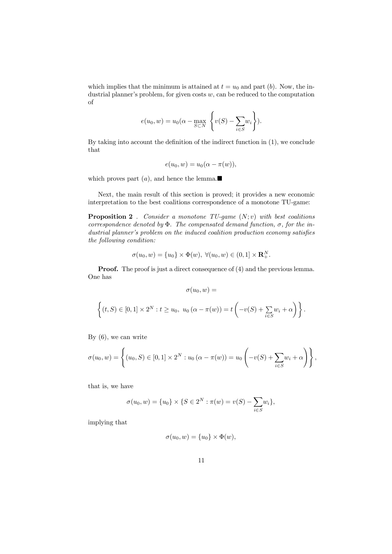which implies that the minimum is attained at  $t = u_0$  and part (b). Now, the industrial planner's problem, for given costs  $w$ , can be reduced to the computation of

$$
e(u_0, w) = u_0(\alpha - \max_{S \subset N} \left\{ v(S) - \sum_{i \in S} w_i \right\}).
$$

By taking into account the definition of the indirect function in  $(1)$ , we conclude that

$$
e(u_0, w) = u_0(\alpha - \pi(w)),
$$

which proves part  $(a)$ , and hence the lemma.

Next, the main result of this section is proved; it provides a new economic interpretation to the best coalitions correspondence of a monotone TU-game:

**Proposition 2** . Consider a monotone TU-game  $(N; v)$  with best coalitions correspondence denoted by  $\Phi$ . The compensated demand function,  $\sigma$ , for the in $dustrial\ planner's\ problem\ on\ the\ induced\ coalition\ production\ economy\ satisfies$ the following condition:

$$
\sigma(u_0, w) = \{u_0\} \times \Phi(w), \ \forall (u_0, w) \in (0, 1] \times \mathbf{R}^N_+.
$$

**Proof.** The proof is just a direct consequence of (4) and the previous lemma. One has

$$
\sigma(u_0,w) =
$$

$$
\left\{(t, S) \in [0, 1] \times 2^N : t \ge u_0, u_0(\alpha - \pi(w)) = t \left(-v(S) + \sum_{i \in S} w_i + \alpha\right)\right\}.
$$

By (6), we can write

$$
\sigma(u_0, w) = \left\{ (u_0, S) \in [0, 1] \times 2^N : u_0 (\alpha - \pi(w)) = u_0 \left( -v(S) + \sum_{i \in S} w_i + \alpha \right) \right\},\,
$$

that is, we have

$$
\sigma(u_0, w) = \{u_0\} \times \{S \in 2^N : \pi(w) = v(S) - \sum_{i \in S} w_i\},\
$$

implying that

$$
\sigma(u_0, w) = \{u_0\} \times \Phi(w),
$$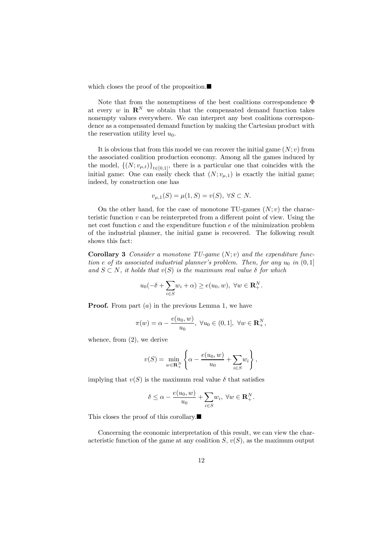which closes the proof of the proposition. $\blacksquare$ 

Note that from the nonemptiness of the best coalitions correspondence  $\Phi$ at every  $w$  in  $\mathbb{R}^N$  we obtain that the compensated demand function takes nonempty values everywhere. We can interpret any best coalitions correspondence as a compensated demand function by making the Cartesian product with the reservation utility level  $u_0$ .

It is obvious that from this model we can recover the initial game  $(N; v)$  from the associated coalition production economy. Among all the games induced by the model,  $\{(N; v_{\mu,t})\}_{t\in[0,1]}$ , there is a particular one that coincides with the initial game: One can easily check that  $(N; v_{\mu,1})$  is exactly the initial game; indeed, by construction one has

$$
v_{\mu,1}(S) = \mu(1,S) = v(S), \ \forall S \subset N.
$$

On the other hand, for the case of monotone TU-games  $(N; v)$  the characteristic function  $v$  can be reinterpreted from a different point of view. Using the net cost function  $c$  and the expenditure function  $e$  of the minimization problem of the industrial planner, the initial game is recovered. The following result shows this fact:

**Corollary 3** Consider a monotone TU-game  $(N; v)$  and the expenditure function e of its associated industrial planner's problem. Then, for any  $u_0$  in  $(0,1]$ and  $S \subset N$ , it holds that  $v(S)$  is the maximum real value  $\delta$  for which

$$
u_0(-\delta + \sum_{i \in S} w_i + \alpha) \ge e(u_0, w), \ \forall w \in \mathbf{R}_+^N.
$$

**Proof.** From part  $(a)$  in the previous Lemma 1, we have

$$
\pi(w) = \alpha - \frac{e(u_0, w)}{u_0}, \ \forall u_0 \in (0, 1], \ \forall w \in \mathbf{R}_+^N,
$$

whence, from (2), we derive

$$
v(S) = \min_{w \in \mathbf{R}_+^N} \left\{ \alpha - \frac{e(u_0, w)}{u_0} + \sum_{i \in S} w_i \right\},\,
$$

implying that  $v(S)$  is the maximum real value  $\delta$  that satisfies

$$
\delta \leq \alpha - \frac{e(u_0, w)}{u_0} + \sum_{i \in S} w_i, \ \forall w \in \mathbf{R}^N_+.
$$

This closes the proof of this corollary. $\blacksquare$ 

Concerning the economic interpretation of this result, we can view the characteristic function of the game at any coalition  $S, v(S)$ , as the maximum output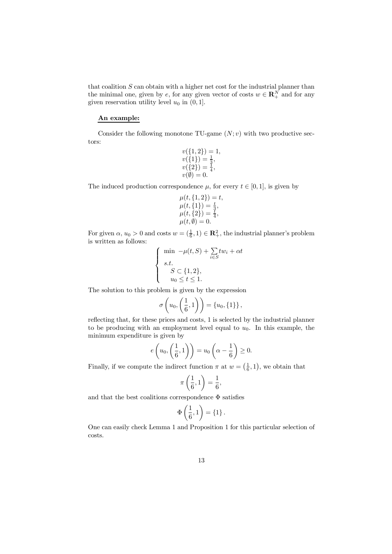that coalition  $S$  can obtain with a higher net cost for the industrial planner than the minimal one, given by e, for any given vector of costs  $w \in \mathbb{R}^N_+$  and for any given reservation utility level  $u_0$  in  $(0, 1]$ .

#### An example:

Consider the following monotone TU-game  $(N; v)$  with two productive sectors:

$$
v({1, 2}) = 1,\n v({1}) = \frac{1}{3},\n v({2}) = \frac{1}{4},\n v(\emptyset) = 0.
$$

The induced production correspondence  $\mu$ , for every  $t \in [0, 1]$ , is given by

$$
\mu(t, \{1, 2\}) = t, \n\mu(t, \{1\}) = \frac{t}{3}, \n\mu(t, \{2\}) = \frac{t}{4}, \n\mu(t, \emptyset) = 0.
$$

For given  $\alpha$ ,  $u_0 > 0$  and costs  $w = (\frac{1}{6}, 1) \in \mathbb{R}^2_+$ , the industrial planner's problem is written as follows:

$$
\begin{cases}\n\min \ -\mu(t, S) + \sum_{i \in S} tw_i + \alpha t \\
s.t. \\
S \subset \{1, 2\}, \\
u_0 \le t \le 1.\n\end{cases}
$$

The solution to this problem is given by the expression

$$
\sigma\left(u_0,\left(\frac{1}{6},1\right)\right)=\left\{u_0,\left\{1\right\}\right\},\right
$$

reflecting that, for these prices and costs, 1 is selected by the industrial planner to be producing with an employment level equal to  $u_0$ . In this example, the minimum expenditure is given by

$$
e\left(u_0,\left(\frac{1}{6},1\right)\right)=u_0\left(\alpha-\frac{1}{6}\right)\geq 0.
$$

Finally, if we compute the indirect function  $\pi$  at  $w = \left(\frac{1}{6}, 1\right)$ , we obtain that

$$
\pi\left(\frac{1}{6},1\right) = \frac{1}{6},
$$

and that the best coalitions correspondence  $\Phi$  satisfies

$$
\Phi\left(\frac{1}{6},1\right) = \{1\}.
$$

One can easily check Lemma 1 and Proposition 1 for this particular selection of costs.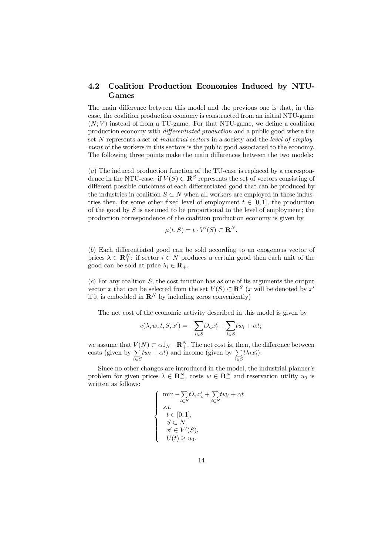#### 4.2 Coalition Production Economies Induced by NTU-Games

The main difference between this model and the previous one is that, in this case, the coalition production economy is constructed from an initial NTU-game  $(N; V)$  instead of from a TU-game. For that NTU-game, we define a coalition production economy with *differentiated production* and a public good where the set N represents a set of *industrial sectors* in a society and the *level of employ*ment of the workers in this sectors is the public good associated to the economy. The following three points make the main differences between the two models:

(a) The induced production function of the TU-case is replaced by a correspondence in the NTU-case: if  $V(S) \subset \mathbb{R}^S$  represents the set of vectors consisting of different possible outcomes of each differentiated good that can be produced by the industries in coalition  $S \subset N$  when all workers are employed in these industries then, for some other fixed level of employment  $t \in [0, 1]$ , the production of the good by  $S$  is assumed to be proportional to the level of employment; the production correspondence of the coalition production economy is given by

$$
\mu(t, S) = t \cdot V'(S) \subset \mathbf{R}^N.
$$

 $(b)$  Each differentiated good can be sold according to an exogenous vector of prices  $\lambda \in \mathbf{R}_{+}^{N}$ : if sector  $i \in N$  produces a certain good then each unit of the good can be sold at price  $\lambda_i \in \mathbf{R}_+$ .

 $(c)$  For any coalition S, the cost function has as one of its arguments the output vector x that can be selected from the set  $V(S) \subset \mathbb{R}^S$  (x will be denoted by x' if it is embedded in  $\mathbb{R}^N$  by including zeros conveniently)

The net cost of the economic activity described in this model is given by

$$
c(\lambda, w, t, S, x') = -\sum_{i \in S} t \lambda_i x'_i + \sum_{i \in S} t w_i + \alpha t;
$$

we assume that  $V(N) \subset \alpha 1_N - \mathbf{R}^N_+$ . The net cost is, then, the difference between  $\csc$  (given by  $\sum$  $i \in S$  $tw_i + \alpha t$ ) and income (given by  $\sum$  $i \in S$  $t\lambda_ix_i'.$ 

Since no other changes are introduced in the model, the industrial planner's problem for given prices  $\lambda \in \mathbf{R}^N_+$ , costs  $w \in \mathbf{R}^N_+$  and reservation utility  $u_0$  is written as follows:

$$
\begin{cases}\n\min - \sum_{i \in S} t \lambda_i x'_i + \sum_{i \in S} t w_i + \alpha t \\
s.t. \\
t \in [0, 1], \\
S \subset N, \\
x' \in V'(S), \\
U(t) \ge u_0.\n\end{cases}
$$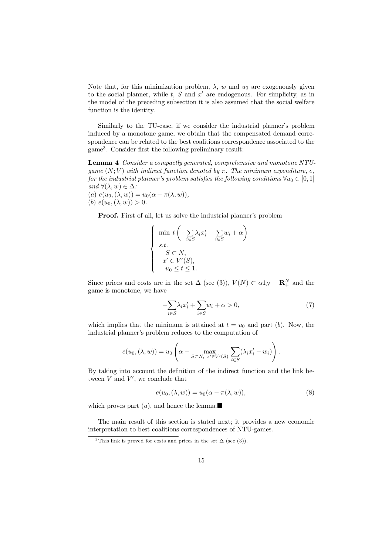Note that, for this minimization problem,  $\lambda$ , w and  $u_0$  are exogenously given to the social planner, while  $t, S$  and  $x'$  are endogenous. For simplicity, as in the model of the preceding subsection it is also assumed that the social welfare function is the identity.

Similarly to the TU-case, if we consider the industrial planner's problem induced by a monotone game, we obtain that the compensated demand correspondence can be related to the best coalitions correspondence associated to the game<sup>3</sup>. Consider first the following preliminary result:

Lemma 4 Consider a compactly generated, comprehensive and monotone NTUgame  $(N; V)$  with indirect function denoted by  $\pi$ . The minimum expenditure, e, for the industrial planner's problem satisfies the following conditions  $\forall u_0 \in [0, 1]$ and  $\forall (\lambda, w) \in \Delta$ : (a)  $e(u_0,(\lambda,w)) = u_0(\alpha - \pi(\lambda,w)),$ (b)  $e(u_0, (\lambda, w)) > 0.$ 

Proof. First of all, let us solve the industrial planner's problem

$$
\begin{cases}\n\min \ t \left( -\sum_{i \in S} \lambda_i x'_i + \sum_{i \in S} w_i + \alpha \right) \\
s.t. \\
S \subset N, \\
x' \in V'(S), \\
u_0 \le t \le 1.\n\end{cases}
$$

Since prices and costs are in the set  $\Delta$  (see (3)),  $V(N) \subset \alpha 1_N - \mathbf{R}^N_+$  and the game is monotone, we have

$$
-\sum_{i\in S} \lambda_i x'_i + \sum_{i\in S} w_i + \alpha > 0,\tag{7}
$$

which implies that the minimum is attained at  $t = u_0$  and part (b). Now, the industrial planner's problem reduces to the computation of

$$
e(u_0,(\lambda,w)) = u_0 \left(\alpha - \max_{S \subset N, \ x' \in V'(S)} \sum_{i \in S} (\lambda_i x'_i - w_i) \right).
$$

By taking into account the definition of the indirect function and the link between  $V$  and  $V'$ , we conclude that

$$
e(u_0,(\lambda, w)) = u_0(\alpha - \pi(\lambda, w)),
$$
\n(8)

which proves part  $(a)$ , and hence the lemma.

The main result of this section is stated next; it provides a new economic interpretation to best coalitions correspondences of NTU-games.

<sup>&</sup>lt;sup>3</sup>This link is proved for costs and prices in the set  $\Delta$  (see (3)).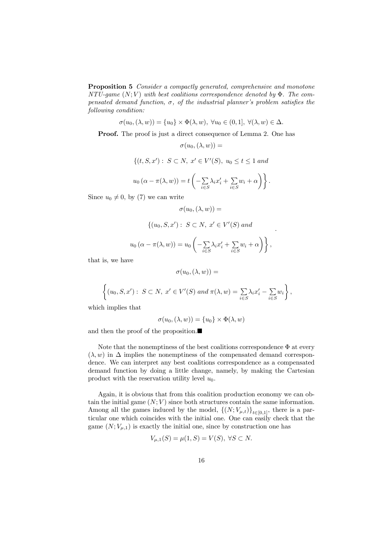Proposition 5 Consider a compactly generated, comprehensive and monotone NTU-game  $(N; V)$  with best coalitions correspondence denoted by  $\Phi$ . The compensated demand function,  $\sigma$ , of the industrial planner's problem satisfies the following condition:

$$
\sigma(u_0,(\lambda,w)) = \{u_0\} \times \Phi(\lambda,w), \ \forall u_0 \in (0,1], \ \forall (\lambda,w) \in \Delta.
$$

Proof. The proof is just a direct consequence of Lemma 2. One has

$$
\sigma(u_0,(\lambda,w))=
$$

$$
\{(t, S, x'): S \subset N, x' \in V'(S), u_0 \le t \le 1 \text{ and }
$$

$$
u_0(\alpha - \pi(\lambda, w)) = t \left( - \sum_{i \in S} \lambda_i x'_i + \sum_{i \in S} w_i + \alpha \right) \right\}.
$$

Since  $u_0 \neq 0$ , by (7) we can write

$$
\sigma(u_0,(\lambda,w))=
$$

$$
\{(u_0, S, x') : S \subset N, x' \in V'(S) \text{ and}
$$

$$
u_0 (\alpha - \pi(\lambda, w)) = u_0 \left( -\sum_{i \in S} \lambda_i x'_i + \sum_{i \in S} w_i + \alpha \right) \}
$$

;

:

that is, we have

$$
\sigma(u_0,(\lambda,w))=
$$

$$
\left\{(u_0, S, x'): S \subset N, x' \in V'(S) \text{ and } \pi(\lambda, w) = \sum_{i \in S} \lambda_i x'_i - \sum_{i \in S} w_i\right\},\
$$

which implies that

$$
\sigma(u_0,(\lambda,w)) = \{u_0\} \times \Phi(\lambda,w)
$$

and then the proof of the proposition. $\blacksquare$ 

Note that the nonemptiness of the best coalitions correspondence  $\Phi$  at every  $(\lambda, w)$  in  $\Delta$  implies the nonemptiness of the compensated demand correspondence. We can interpret any best coalitions correspondence as a compensated demand function by doing a little change, namely, by making the Cartesian product with the reservation utility level  $u_0$ .

Again, it is obvious that from this coalition production economy we can obtain the initial game  $(N; V)$  since both structures contain the same information. Among all the games induced by the model,  $\{(N; V_{\mu,t})\}_{t\in[0,1]}$ , there is a particular one which coincides with the initial one. One can easily check that the game  $(N; V_{\mu,1})$  is exactly the initial one, since by construction one has

$$
V_{\mu,1}(S) = \mu(1,S) = V(S), \ \forall S \subset N.
$$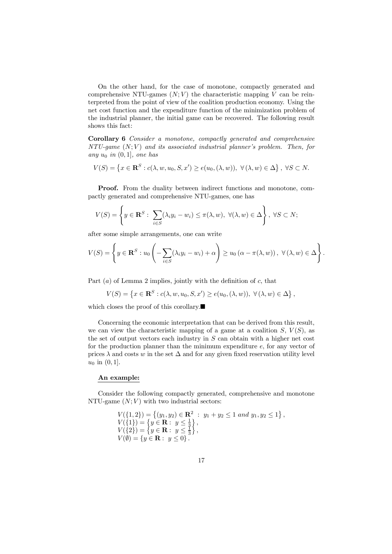On the other hand, for the case of monotone, compactly generated and comprehensive NTU-games  $(N; V)$  the characteristic mapping V can be reinterpreted from the point of view of the coalition production economy. Using the net cost function and the expenditure function of the minimization problem of the industrial planner, the initial game can be recovered. The following result shows this fact:

Corollary 6 Consider a monotone, compactly generated and comprehensive  $NTU\text{-}game (N;V)$  and its associated industrial planner's problem. Then, for any  $u_0$  in  $(0, 1]$ , one has

$$
V(S) = \left\{ x \in \mathbf{R}^S : c(\lambda, w, u_0, S, x') \ge e(u_0, (\lambda, w)), \ \forall (\lambda, w) \in \Delta \right\}, \ \forall S \subset N.
$$

Proof. From the duality between indirect functions and monotone, compactly generated and comprehensive NTU-games, one has

$$
V(S) = \left\{ y \in \mathbf{R}^S : \sum_{i \in S} (\lambda_i y_i - w_i) \le \pi(\lambda, w), \ \forall (\lambda, w) \in \Delta \right\}, \ \forall S \subset N;
$$

after some simple arrangements, one can write

$$
V(S) = \left\{ y \in \mathbf{R}^S : u_0 \left( -\sum_{i \in S} (\lambda_i y_i - w_i) + \alpha \right) \ge u_0 \left( \alpha - \pi(\lambda, w) \right), \ \forall (\lambda, w) \in \Delta \right\}.
$$

Part  $(a)$  of Lemma 2 implies, jointly with the definition of  $c$ , that

$$
V(S) = \left\{ x \in \mathbf{R}^S : c(\lambda, w, u_0, S, x') \ge e(u_0, (\lambda, w)), \ \forall (\lambda, w) \in \Delta \right\},\
$$

which closes the proof of this corollary. $\blacksquare$ 

Concerning the economic interpretation that can be derived from this result, we can view the characteristic mapping of a game at a coalition  $S, V(S)$ , as the set of output vectors each industry in  $S$  can obtain with a higher net cost for the production planner than the minimum expenditure e, for any vector of prices  $\lambda$  and costs w in the set  $\Delta$  and for any given fixed reservation utility level  $u_0$  in  $(0, 1]$ .

#### An example:

Consider the following compactly generated, comprehensive and monotone NTU-game  $(N; V)$  with two industrial sectors:

> $V({1, 2}) = \{(y_1, y_2) \in \mathbb{R}^2 : y_1 + y_2 \le 1 \text{ and } y_1, y_2 \le 1\},\$  $V(\{1\}) = \left\{y \in \mathbf{R} : y \leq \frac{1}{3}\right\},\$  $V(\{2\}) = \left\{y \in \mathbf{R}: y \leq \frac{1}{3}\right\},\$  $V(\emptyset) = \{y \in \mathbf{R} : y \le 0\}.$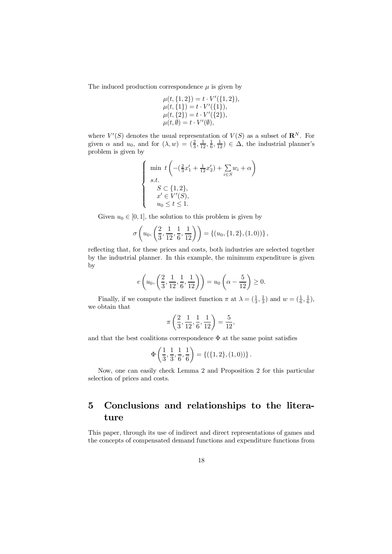The induced production correspondence  $\mu$  is given by

$$
\mu(t, \{1, 2\}) = t \cdot V'(\{1, 2\}), \n\mu(t, \{1\}) = t \cdot V'(\{1\}), \n\mu(t, \{2\}) = t \cdot V'(\{2\}), \n\mu(t, \emptyset) = t \cdot V'(\emptyset),
$$

where  $V'(S)$  denotes the usual representation of  $V(S)$  as a subset of  $\mathbb{R}^N$ . For given  $\alpha$  and  $u_0$ , and for  $(\lambda, w) = (\frac{2}{3}, \frac{1}{12}, \frac{1}{6}, \frac{1}{12}) \in \Delta$ , the industrial planner's problem is given by

$$
\begin{cases}\n\min \ t \left( -\left(\frac{2}{3}x_1' + \frac{1}{12}x_2'\right) + \sum_{i \in S} w_i + \alpha \right) \\
s.t. \\
\quad S \subset \{1, 2\}, \\
\quad x' \in V'(S), \\
\quad u_0 \le t \le 1.\n\end{cases}
$$

Given  $u_0 \in [0, 1]$ , the solution to this problem is given by

$$
\sigma\left(u_0, \left(\frac{2}{3}, \frac{1}{12}, \frac{1}{6}, \frac{1}{12}\right)\right) = \left\{(u_0, \{1, 2\}, (1, 0))\right\},\
$$

reflecting that, for these prices and costs, both industries are selected together by the industrial planner. In this example, the minimum expenditure is given by

$$
e\left(u_0, \left(\frac{2}{3}, \frac{1}{12}, \frac{1}{6}, \frac{1}{12}\right)\right) = u_0\left(\alpha - \frac{5}{12}\right) \ge 0.
$$

Finally, if we compute the indirect function  $\pi$  at  $\lambda = (\frac{1}{3}, \frac{1}{3})$  and  $w = (\frac{1}{6}, \frac{1}{6})$ , we obtain that

$$
\pi\left(\frac{2}{3},\frac{1}{12},\frac{1}{6},\frac{1}{12}\right)=\frac{5}{12},
$$

and that the best coalitions correspondence  $\Phi$  at the same point satisfies

$$
\Phi\left(\frac{1}{3},\frac{1}{3},\frac{1}{6},\frac{1}{6}\right) = \{(\{1,2\},(1,0))\}.
$$

Now, one can easily check Lemma 2 and Proposition 2 for this particular selection of prices and costs.

## 5 Conclusions and relationships to the literature

This paper, through its use of indirect and direct representations of games and the concepts of compensated demand functions and expenditure functions from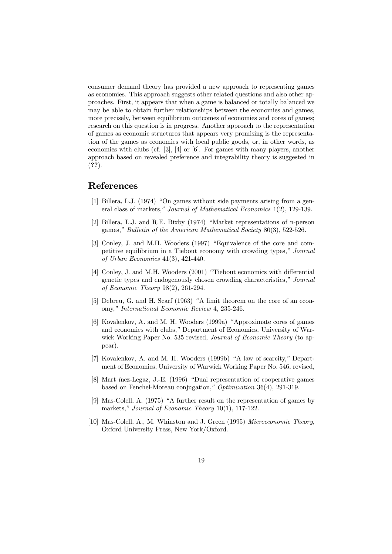consumer demand theory has provided a new approach to representing games as economies. This approach suggests other related questions and also other approaches. First, it appears that when a game is balanced or totally balanced we may be able to obtain further relationships between the economies and games, more precisely, between equilibrium outcomes of economies and cores of games; research on this question is in progress. Another approach to the representation of games as economic structures that appears very promising is the representation of the games as economies with local public goods, or, in other words, as economies with clubs (cf. [3], [4] or [6]. For games with many players, another approach based on revealed preference and integrability theory is suggested in (??).

### References

- [1] Billera, L.J. (1974) "On games without side payments arising from a general class of markets," Journal of Mathematical Economics 1(2), 129-139.
- [2] Billera, L.J. and R.E. Bixby (1974) "Market representations of n-person games," Bulletin of the American Mathematical Society 80(3), 522-526.
- [3] Conley, J. and M.H. Wooders (1997) "Equivalence of the core and competitive equilibrium in a Tiebout economy with crowding types," Journal of Urban Economics 41(3), 421-440.
- [4] Conley, J. and M.H. Wooders (2001) "Tiebout economics with differential genetic types and endogenously chosen crowding characteristics," Journal of Economic Theory 98(2), 261-294.
- [5] Debreu, G. and H. Scarf (1963) "A limit theorem on the core of an economy," International Economic Review 4, 235-246.
- [6] Kovalenkov, A. and M. H. Wooders (1999a) "Approximate cores of games and economies with clubs," Department of Economics, University of Warwick Working Paper No. 535 revised, *Journal of Economic Theory* (to appear).
- [7] Kovalenkov, A. and M. H. Wooders (1999b) "A law of scarcity," Department of Economics, University of Warwick Working Paper No. 546, revised,
- [8] Mart ínez-Legaz, J.-E. (1996) "Dual representation of cooperative games based on Fenchel-Moreau conjugation," Optimization 36(4), 291-319.
- [9] Mas-Colell, A. (1975) "A further result on the representation of games by markets," Journal of Economic Theory 10(1), 117-122.
- [10] Mas-Colell, A., M. Whinston and J. Green (1995) Microeconomic Theory, Oxford University Press, New York/Oxford.